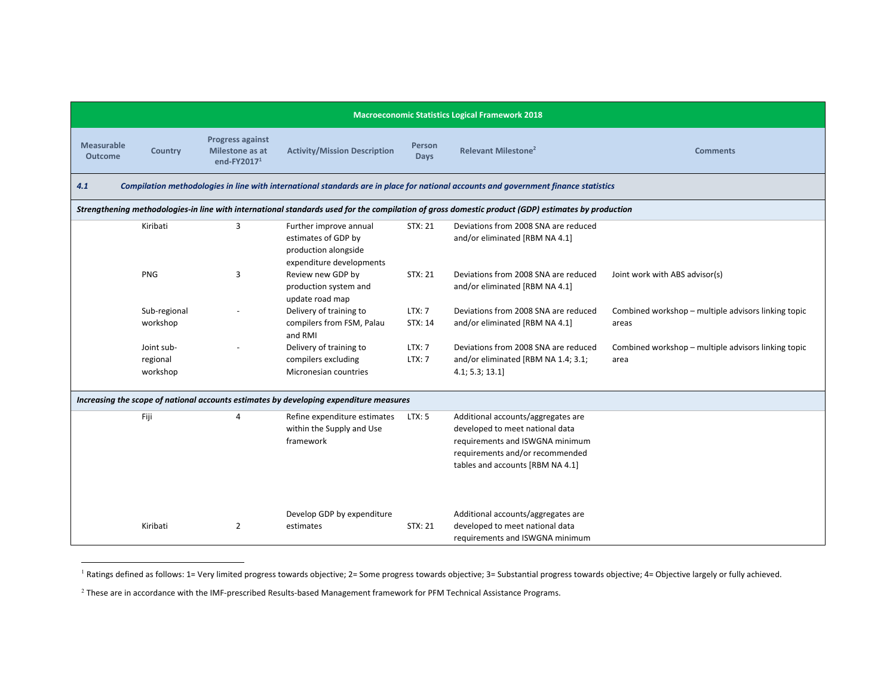| <b>Macroeconomic Statistics Logical Framework 2018</b> |                                                                                                                                                   |                                                              |                                                                                                   |                         |                                                                                                                                                                                 |                                                              |  |  |  |
|--------------------------------------------------------|---------------------------------------------------------------------------------------------------------------------------------------------------|--------------------------------------------------------------|---------------------------------------------------------------------------------------------------|-------------------------|---------------------------------------------------------------------------------------------------------------------------------------------------------------------------------|--------------------------------------------------------------|--|--|--|
| <b>Measurable</b><br><b>Outcome</b>                    | Country                                                                                                                                           | <b>Progress against</b><br>Milestone as at<br>end-FY2017 $1$ | <b>Activity/Mission Description</b>                                                               | Person<br><b>Days</b>   | <b>Relevant Milestone<sup>2</sup></b>                                                                                                                                           | <b>Comments</b>                                              |  |  |  |
| 4.1                                                    | Compilation methodologies in line with international standards are in place for national accounts and government finance statistics               |                                                              |                                                                                                   |                         |                                                                                                                                                                                 |                                                              |  |  |  |
|                                                        | Strengthening methodologies-in line with international standards used for the compilation of gross domestic product (GDP) estimates by production |                                                              |                                                                                                   |                         |                                                                                                                                                                                 |                                                              |  |  |  |
|                                                        | Kiribati                                                                                                                                          | 3                                                            | Further improve annual<br>estimates of GDP by<br>production alongside<br>expenditure developments | STX: 21                 | Deviations from 2008 SNA are reduced<br>and/or eliminated [RBM NA 4.1]                                                                                                          |                                                              |  |  |  |
|                                                        | <b>PNG</b>                                                                                                                                        | 3                                                            | Review new GDP by<br>production system and<br>update road map                                     | STX: 21                 | Deviations from 2008 SNA are reduced<br>and/or eliminated [RBM NA 4.1]                                                                                                          | Joint work with ABS advisor(s)                               |  |  |  |
|                                                        | Sub-regional<br>workshop                                                                                                                          |                                                              | Delivery of training to<br>compilers from FSM, Palau<br>and RMI                                   | LTX:7<br>STX: 14        | Deviations from 2008 SNA are reduced<br>and/or eliminated [RBM NA 4.1]                                                                                                          | Combined workshop - multiple advisors linking topic<br>areas |  |  |  |
|                                                        | Joint sub-<br>regional<br>workshop                                                                                                                |                                                              | Delivery of training to<br>compilers excluding<br>Micronesian countries                           | LTX: 7<br><b>LTX: 7</b> | Deviations from 2008 SNA are reduced<br>and/or eliminated [RBM NA 1.4; 3.1;<br>4.1; 5.3; 13.1]                                                                                  | Combined workshop - multiple advisors linking topic<br>area  |  |  |  |
|                                                        | Increasing the scope of national accounts estimates by developing expenditure measures                                                            |                                                              |                                                                                                   |                         |                                                                                                                                                                                 |                                                              |  |  |  |
|                                                        | Fiji                                                                                                                                              | 4                                                            | Refine expenditure estimates<br>within the Supply and Use<br>framework                            | LTX: 5                  | Additional accounts/aggregates are<br>developed to meet national data<br>requirements and ISWGNA minimum<br>requirements and/or recommended<br>tables and accounts [RBM NA 4.1] |                                                              |  |  |  |
|                                                        | Kiribati                                                                                                                                          | $\overline{2}$                                               | Develop GDP by expenditure<br>estimates                                                           | <b>STX: 21</b>          | Additional accounts/aggregates are<br>developed to meet national data<br>requirements and ISWGNA minimum                                                                        |                                                              |  |  |  |

<sup>1</sup> Ratings defined as follows: 1= Very limited progress towards objective; 2= Some progress towards objective; 3= Substantial progress towards objective; 4= Objective largely or fully achieved.

 $^2$  These are in accordance with the IMF-prescribed Results-based Management framework for PFM Technical Assistance Programs.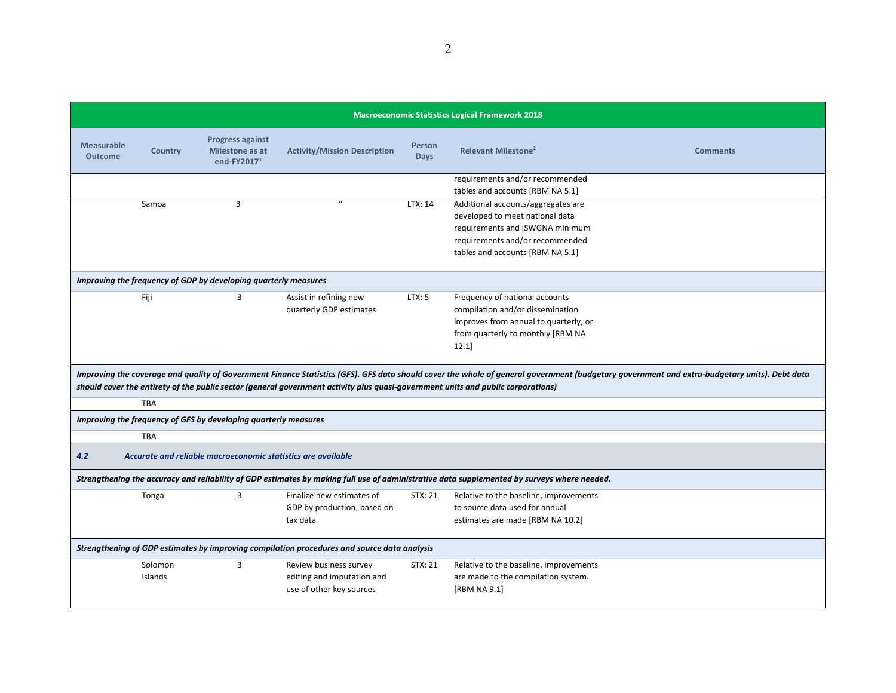| <b>Macroeconomic Statistics Logical Framework 2018</b>                                                                                      |                |                                                              |                                                                                                                                  |                       |                                                     |                                                                                                                                                                                              |  |
|---------------------------------------------------------------------------------------------------------------------------------------------|----------------|--------------------------------------------------------------|----------------------------------------------------------------------------------------------------------------------------------|-----------------------|-----------------------------------------------------|----------------------------------------------------------------------------------------------------------------------------------------------------------------------------------------------|--|
| <b>Measurable</b><br><b>Outcome</b>                                                                                                         | <b>Country</b> | <b>Progress against</b><br>Milestone as at<br>end-FY2017 $1$ | <b>Activity/Mission Description</b>                                                                                              | Person<br><b>Days</b> | <b>Relevant Milestone<sup>2</sup></b>               | <b>Comments</b>                                                                                                                                                                              |  |
|                                                                                                                                             |                |                                                              |                                                                                                                                  |                       | requirements and/or recommended                     |                                                                                                                                                                                              |  |
|                                                                                                                                             |                |                                                              |                                                                                                                                  |                       | tables and accounts [RBM NA 5.1]                    |                                                                                                                                                                                              |  |
|                                                                                                                                             | Samoa          | $\overline{3}$                                               |                                                                                                                                  | LTX: 14               | Additional accounts/aggregates are                  |                                                                                                                                                                                              |  |
|                                                                                                                                             |                |                                                              |                                                                                                                                  |                       | developed to meet national data                     |                                                                                                                                                                                              |  |
|                                                                                                                                             |                |                                                              |                                                                                                                                  |                       | requirements and ISWGNA minimum                     |                                                                                                                                                                                              |  |
|                                                                                                                                             |                |                                                              |                                                                                                                                  |                       | requirements and/or recommended                     |                                                                                                                                                                                              |  |
|                                                                                                                                             |                |                                                              |                                                                                                                                  |                       | tables and accounts [RBM NA 5.1]                    |                                                                                                                                                                                              |  |
| Improving the frequency of GDP by developing quarterly measures                                                                             |                |                                                              |                                                                                                                                  |                       |                                                     |                                                                                                                                                                                              |  |
|                                                                                                                                             | Fiji           | 3                                                            | Assist in refining new                                                                                                           | LTX: 5                | Frequency of national accounts                      |                                                                                                                                                                                              |  |
|                                                                                                                                             |                |                                                              | quarterly GDP estimates                                                                                                          |                       | compilation and/or dissemination                    |                                                                                                                                                                                              |  |
|                                                                                                                                             |                |                                                              |                                                                                                                                  |                       | improves from annual to quarterly, or               |                                                                                                                                                                                              |  |
|                                                                                                                                             |                |                                                              |                                                                                                                                  |                       | from quarterly to monthly [RBM NA                   |                                                                                                                                                                                              |  |
|                                                                                                                                             |                |                                                              |                                                                                                                                  |                       | 12.1                                                |                                                                                                                                                                                              |  |
|                                                                                                                                             |                |                                                              |                                                                                                                                  |                       |                                                     |                                                                                                                                                                                              |  |
|                                                                                                                                             |                |                                                              |                                                                                                                                  |                       |                                                     | Improving the coverage and quality of Government Finance Statistics (GFS). GFS data should cover the whole of general government (budgetary government and extra-budgetary units). Debt data |  |
|                                                                                                                                             |                |                                                              | should cover the entirety of the public sector (general government activity plus quasi-government units and public corporations) |                       |                                                     |                                                                                                                                                                                              |  |
|                                                                                                                                             | <b>TBA</b>     |                                                              |                                                                                                                                  |                       |                                                     |                                                                                                                                                                                              |  |
| Improving the frequency of GFS by developing quarterly measures                                                                             |                |                                                              |                                                                                                                                  |                       |                                                     |                                                                                                                                                                                              |  |
|                                                                                                                                             | <b>TBA</b>     |                                                              |                                                                                                                                  |                       |                                                     |                                                                                                                                                                                              |  |
| 4.2                                                                                                                                         |                | Accurate and reliable macroeconomic statistics are available |                                                                                                                                  |                       |                                                     |                                                                                                                                                                                              |  |
| Strengthening the accuracy and reliability of GDP estimates by making full use of administrative data supplemented by surveys where needed. |                |                                                              |                                                                                                                                  |                       |                                                     |                                                                                                                                                                                              |  |
|                                                                                                                                             | Tonga          | 3                                                            | Finalize new estimates of                                                                                                        | STX: 21               | Relative to the baseline, improvements              |                                                                                                                                                                                              |  |
|                                                                                                                                             |                |                                                              | GDP by production, based on                                                                                                      |                       | to source data used for annual                      |                                                                                                                                                                                              |  |
|                                                                                                                                             |                |                                                              | tax data                                                                                                                         |                       | estimates are made [RBM NA 10.2]                    |                                                                                                                                                                                              |  |
| Strengthening of GDP estimates by improving compilation procedures and source data analysis                                                 |                |                                                              |                                                                                                                                  |                       |                                                     |                                                                                                                                                                                              |  |
|                                                                                                                                             | Solomon        | 3                                                            | Review business survey                                                                                                           | STX: 21               | Relative to the baseline, improvements              |                                                                                                                                                                                              |  |
|                                                                                                                                             | Islands        |                                                              |                                                                                                                                  |                       |                                                     |                                                                                                                                                                                              |  |
|                                                                                                                                             |                |                                                              |                                                                                                                                  |                       |                                                     |                                                                                                                                                                                              |  |
|                                                                                                                                             |                |                                                              | editing and imputation and<br>use of other key sources                                                                           |                       | are made to the compilation system.<br>[RBM NA 9.1] |                                                                                                                                                                                              |  |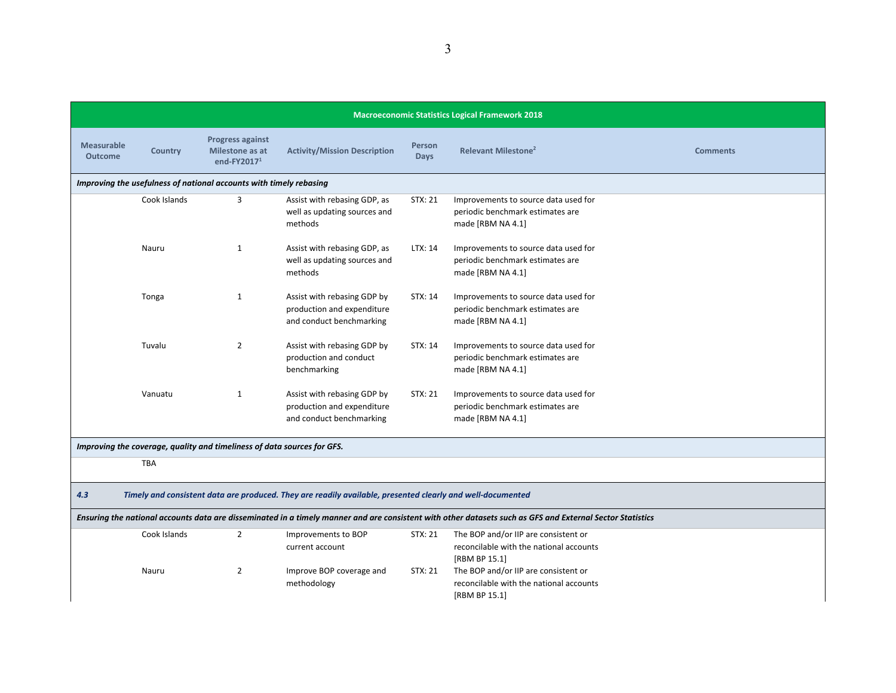| <b>Macroeconomic Statistics Logical Framework 2018</b>                                                                                                    |                                                                                                            |                                                                         |                                                                                       |                       |                                                                                                  |                 |  |  |
|-----------------------------------------------------------------------------------------------------------------------------------------------------------|------------------------------------------------------------------------------------------------------------|-------------------------------------------------------------------------|---------------------------------------------------------------------------------------|-----------------------|--------------------------------------------------------------------------------------------------|-----------------|--|--|
| <b>Measurable</b><br><b>Outcome</b>                                                                                                                       | <b>Country</b>                                                                                             | <b>Progress against</b><br>Milestone as at<br>end-FY2017 $1$            | <b>Activity/Mission Description</b>                                                   | Person<br><b>Days</b> | Relevant Milestone <sup>2</sup>                                                                  | <b>Comments</b> |  |  |
|                                                                                                                                                           |                                                                                                            | Improving the usefulness of national accounts with timely rebasing      |                                                                                       |                       |                                                                                                  |                 |  |  |
|                                                                                                                                                           | Cook Islands                                                                                               | 3                                                                       | Assist with rebasing GDP, as<br>well as updating sources and<br>methods               | STX: 21               | Improvements to source data used for<br>periodic benchmark estimates are<br>made [RBM NA 4.1]    |                 |  |  |
|                                                                                                                                                           | Nauru                                                                                                      | 1                                                                       | Assist with rebasing GDP, as<br>well as updating sources and<br>methods               | LTX: 14               | Improvements to source data used for<br>periodic benchmark estimates are<br>made [RBM NA 4.1]    |                 |  |  |
|                                                                                                                                                           | Tonga                                                                                                      | 1                                                                       | Assist with rebasing GDP by<br>production and expenditure<br>and conduct benchmarking | STX: 14               | Improvements to source data used for<br>periodic benchmark estimates are<br>made [RBM NA 4.1]    |                 |  |  |
|                                                                                                                                                           | Tuvalu                                                                                                     | $\overline{2}$                                                          | Assist with rebasing GDP by<br>production and conduct<br>benchmarking                 | STX: 14               | Improvements to source data used for<br>periodic benchmark estimates are<br>made [RBM NA 4.1]    |                 |  |  |
|                                                                                                                                                           | Vanuatu                                                                                                    | 1                                                                       | Assist with rebasing GDP by<br>production and expenditure<br>and conduct benchmarking | <b>STX: 21</b>        | Improvements to source data used for<br>periodic benchmark estimates are<br>made [RBM NA 4.1]    |                 |  |  |
|                                                                                                                                                           |                                                                                                            | Improving the coverage, quality and timeliness of data sources for GFS. |                                                                                       |                       |                                                                                                  |                 |  |  |
|                                                                                                                                                           | <b>TBA</b>                                                                                                 |                                                                         |                                                                                       |                       |                                                                                                  |                 |  |  |
| 4.3                                                                                                                                                       | Timely and consistent data are produced. They are readily available, presented clearly and well-documented |                                                                         |                                                                                       |                       |                                                                                                  |                 |  |  |
| Ensuring the national accounts data are disseminated in a timely manner and are consistent with other datasets such as GFS and External Sector Statistics |                                                                                                            |                                                                         |                                                                                       |                       |                                                                                                  |                 |  |  |
|                                                                                                                                                           | Cook Islands                                                                                               | $\overline{2}$                                                          | Improvements to BOP<br>current account                                                | STX: 21               | The BOP and/or IIP are consistent or<br>reconcilable with the national accounts<br>[RBM BP 15.1] |                 |  |  |
|                                                                                                                                                           | Nauru                                                                                                      | $\overline{2}$                                                          | Improve BOP coverage and<br>methodology                                               | STX: 21               | The BOP and/or IIP are consistent or<br>reconcilable with the national accounts<br>[RBM BP 15.1] |                 |  |  |